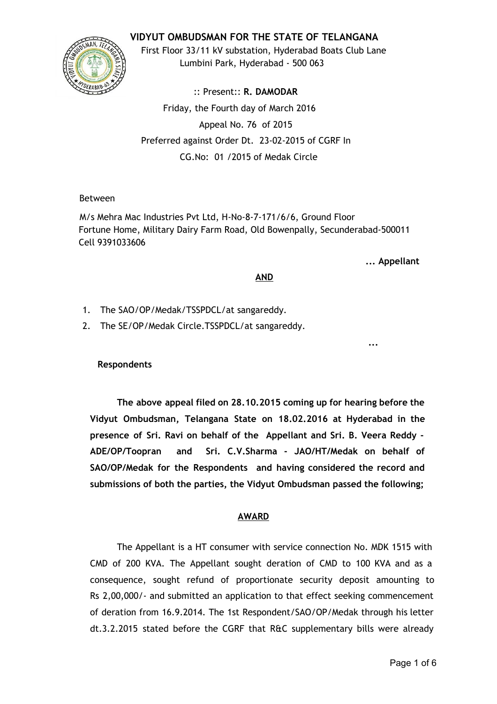## **VIDYUT OMBUDSMAN FOR THE STATE OF TELANGANA**



First Floor 33/11 kV substation, Hyderabad Boats Club Lane Lumbini Park, Hyderabad ‐ 500 063

:: Present:: **R. DAMODAR** Friday, the Fourth day of March 2016 Appeal No. 76 of 2015 Preferred against Order Dt. 23‐02‐2015 of CGRF In CG.No: 01 /2015 of Medak Circle

## Between

M/s Mehra Mac Industries Pvt Ltd, H‐No‐8‐7‐171/6/6, Ground Floor Fortune Home, Military Dairy Farm Road, Old Bowenpally, Secunderabad‐500011 Cell 9391033606

**... Appellant**

**...**

### **AND**

- 1. The SAO/OP/Medak/TSSPDCL/at sangareddy.
- 2. The SE/OP/Medak Circle.TSSPDCL/at sangareddy.

**Respondents**

**The above appeal filed on 28.10.2015 coming up for hearing before the Vidyut Ombudsman, Telangana State on 18.02.2016 at Hyderabad in the presence of Sri. Ravi on behalf of the Appellant and Sri. B. Veera Reddy ‐ ADE/OP/Toopran and Sri. C.V.Sharma ‐ JAO/HT/Medak on behalf of SAO/OP/Medak for the Respondents and having considered the record and submissions of both the parties, the Vidyut Ombudsman passed the following;**

# **AWARD**

The Appellant is a HT consumer with service connection No. MDK 1515 with CMD of 200 KVA. The Appellant sought deration of CMD to 100 KVA and as a consequence, sought refund of proportionate security deposit amounting to Rs 2,00,000/‐ and submitted an application to that effect seeking commencement of deration from 16.9.2014. The 1st Respondent/SAO/OP/Medak through his letter dt.3.2.2015 stated before the CGRF that R&C supplementary bills were already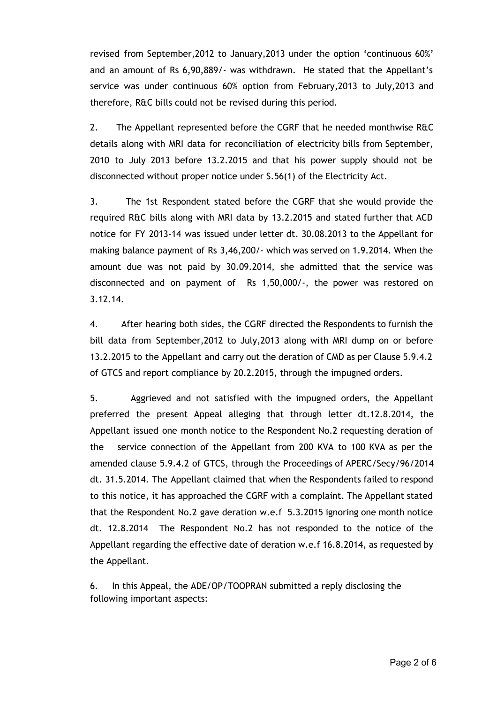revised from September,2012 to January,2013 under the option 'continuous 60%' and an amount of Rs 6,90,889/‐ was withdrawn. He stated that the Appellant's service was under continuous 60% option from February,2013 to July,2013 and therefore, R&C bills could not be revised during this period.

2. The Appellant represented before the CGRF that he needed monthwise R&C details along with MRI data for reconciliation of electricity bills from September, 2010 to July 2013 before 13.2.2015 and that his power supply should not be disconnected without proper notice under S.56(1) of the Electricity Act.

3. The 1st Respondent stated before the CGRF that she would provide the required R&C bills along with MRI data by 13.2.2015 and stated further that ACD notice for FY 2013‐14 was issued under letter dt. 30.08.2013 to the Appellant for making balance payment of Rs 3,46,200/‐ which was served on 1.9.2014. When the amount due was not paid by 30.09.2014, she admitted that the service was disconnected and on payment of Rs 1,50,000/‐, the power was restored on 3.12.14.

4. After hearing both sides, the CGRF directed the Respondents to furnish the bill data from September,2012 to July,2013 along with MRI dump on or before 13.2.2015 to the Appellant and carry out the deration of CMD as per Clause 5.9.4.2 of GTCS and report compliance by 20.2.2015, through the impugned orders.

5. Aggrieved and not satisfied with the impugned orders, the Appellant preferred the present Appeal alleging that through letter dt.12.8.2014, the Appellant issued one month notice to the Respondent No.2 requesting deration of the service connection of the Appellant from 200 KVA to 100 KVA as per the amended clause 5.9.4.2 of GTCS, through the Proceedings of APERC/Secy/96/2014 dt. 31.5.2014. The Appellant claimed that when the Respondents failed to respond to this notice, it has approached the CGRF with a complaint. The Appellant stated that the Respondent No.2 gave deration w.e.f 5.3.2015 ignoring one month notice dt. 12.8.2014 The Respondent No.2 has not responded to the notice of the Appellant regarding the effective date of deration w.e.f 16.8.2014, as requested by the Appellant.

6. In this Appeal, the ADE/OP/TOOPRAN submitted a reply disclosing the following important aspects: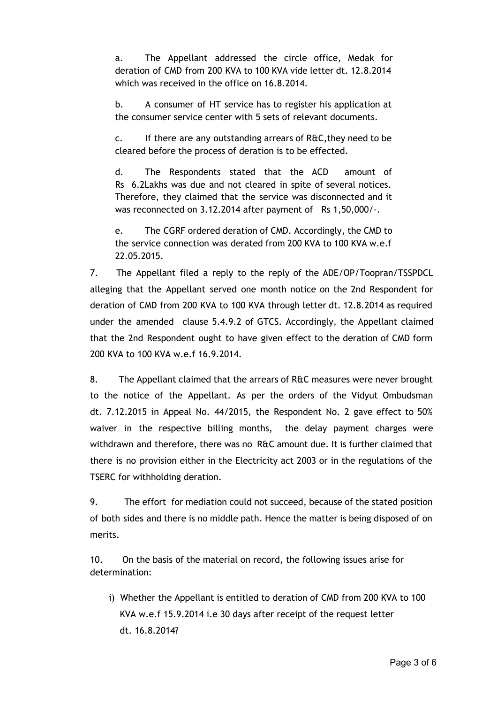a. The Appellant addressed the circle office, Medak for deration of CMD from 200 KVA to 100 KVA vide letter dt. 12.8.2014 which was received in the office on 16.8.2014.

b. A consumer of HT service has to register his application at the consumer service center with 5 sets of relevant documents.

c. If there are any outstanding arrears of R&C,they need to be cleared before the process of deration is to be effected.

d. The Respondents stated that the ACD amount of Rs 6.2Lakhs was due and not cleared in spite of several notices. Therefore, they claimed that the service was disconnected and it was reconnected on 3.12.2014 after payment of Rs 1,50,000/-.

e. The CGRF ordered deration of CMD. Accordingly, the CMD to the service connection was derated from 200 KVA to 100 KVA w.e.f 22.05.2015.

7. The Appellant filed a reply to the reply of the ADE/OP/Toopran/TSSPDCL alleging that the Appellant served one month notice on the 2nd Respondent for deration of CMD from 200 KVA to 100 KVA through letter dt. 12.8.2014 as required under the amended clause 5.4.9.2 of GTCS. Accordingly, the Appellant claimed that the 2nd Respondent ought to have given effect to the deration of CMD form 200 KVA to 100 KVA w.e.f 16.9.2014.

8. The Appellant claimed that the arrears of R&C measures were never brought to the notice of the Appellant. As per the orders of the Vidyut Ombudsman dt. 7.12.2015 in Appeal No. 44/2015, the Respondent No. 2 gave effect to 50% waiver in the respective billing months, the delay payment charges were withdrawn and therefore, there was no R&C amount due. It is further claimed that there is no provision either in the Electricity act 2003 or in the regulations of the TSERC for withholding deration.

9. The effort for mediation could not succeed, because of the stated position of both sides and there is no middle path. Hence the matter is being disposed of on merits.

10. On the basis of the material on record, the following issues arise for determination:

i) Whether the Appellant is entitled to deration of CMD from 200 KVA to 100 KVA w.e.f 15.9.2014 i.e 30 days after receipt of the request letter dt. 16.8.2014?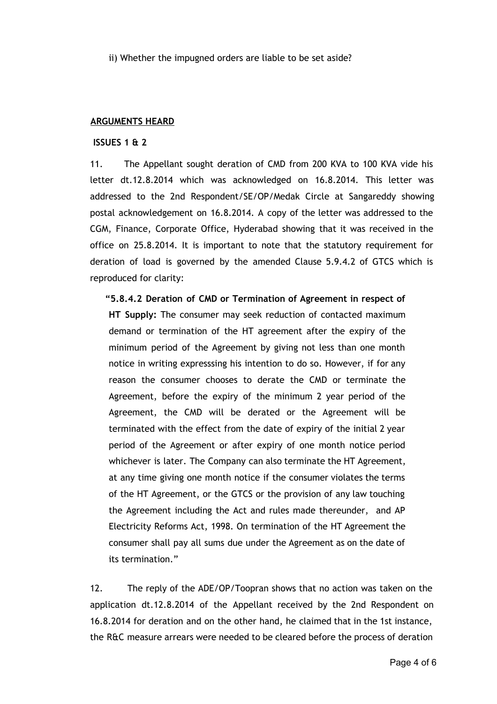ii) Whether the impugned orders are liable to be set aside?

#### **ARGUMENTS HEARD**

#### **ISSUES 1 & 2**

11. The Appellant sought deration of CMD from 200 KVA to 100 KVA vide his letter dt.12.8.2014 which was acknowledged on 16.8.2014. This letter was addressed to the 2nd Respondent/SE/OP/Medak Circle at Sangareddy showing postal acknowledgement on 16.8.2014. A copy of the letter was addressed to the CGM, Finance, Corporate Office, Hyderabad showing that it was received in the office on 25.8.2014. It is important to note that the statutory requirement for deration of load is governed by the amended Clause 5.9.4.2 of GTCS which is reproduced for clarity:

**"5.8.4.2 Deration of CMD or Termination of Agreement in respect of HT Supply:** The consumer may seek reduction of contacted maximum demand or termination of the HT agreement after the expiry of the minimum period of the Agreement by giving not less than one month notice in writing expresssing his intention to do so. However, if for any reason the consumer chooses to derate the CMD or terminate the Agreement, before the expiry of the minimum 2 year period of the Agreement, the CMD will be derated or the Agreement will be terminated with the effect from the date of expiry of the initial 2 year period of the Agreement or after expiry of one month notice period whichever is later. The Company can also terminate the HT Agreement, at any time giving one month notice if the consumer violates the terms of the HT Agreement, or the GTCS or the provision of any law touching the Agreement including the Act and rules made thereunder, and AP Electricity Reforms Act, 1998. On termination of the HT Agreement the consumer shall pay all sums due under the Agreement as on the date of its termination."

12. The reply of the ADE/OP/Toopran shows that no action was taken on the application dt.12.8.2014 of the Appellant received by the 2nd Respondent on 16.8.2014 for deration and on the other hand, he claimed that in the 1st instance, the R&C measure arrears were needed to be cleared before the process of deration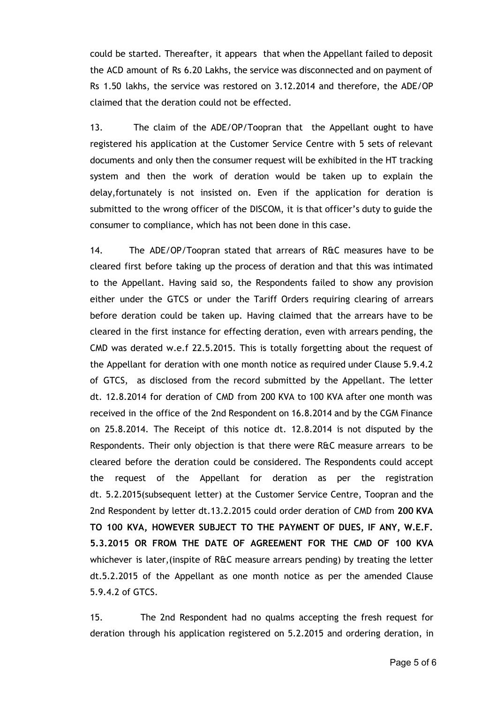could be started. Thereafter, it appears that when the Appellant failed to deposit the ACD amount of Rs 6.20 Lakhs, the service was disconnected and on payment of Rs 1.50 lakhs, the service was restored on 3.12.2014 and therefore, the ADE/OP claimed that the deration could not be effected.

13. The claim of the ADE/OP/Toopran that the Appellant ought to have registered his application at the Customer Service Centre with 5 sets of relevant documents and only then the consumer request will be exhibited in the HT tracking system and then the work of deration would be taken up to explain the delay,fortunately is not insisted on. Even if the application for deration is submitted to the wrong officer of the DISCOM, it is that officer's duty to guide the consumer to compliance, which has not been done in this case.

14. The ADE/OP/Toopran stated that arrears of R&C measures have to be cleared first before taking up the process of deration and that this was intimated to the Appellant. Having said so, the Respondents failed to show any provision either under the GTCS or under the Tariff Orders requiring clearing of arrears before deration could be taken up. Having claimed that the arrears have to be cleared in the first instance for effecting deration, even with arrears pending, the CMD was derated w.e.f 22.5.2015. This is totally forgetting about the request of the Appellant for deration with one month notice as required under Clause 5.9.4.2 of GTCS, as disclosed from the record submitted by the Appellant. The letter dt. 12.8.2014 for deration of CMD from 200 KVA to 100 KVA after one month was received in the office of the 2nd Respondent on 16.8.2014 and by the CGM Finance on 25.8.2014. The Receipt of this notice dt. 12.8.2014 is not disputed by the Respondents. Their only objection is that there were R&C measure arrears to be cleared before the deration could be considered. The Respondents could accept the request of the Appellant for deration as per the registration dt. 5.2.2015(subsequent letter) at the Customer Service Centre, Toopran and the 2nd Respondent by letter dt.13.2.2015 could order deration of CMD from **200 KVA TO 100 KVA, HOWEVER SUBJECT TO THE PAYMENT OF DUES, IF ANY, W.E.F. 5.3.2015 OR FROM THE DATE OF AGREEMENT FOR THE CMD OF 100 KVA** whichever is later,(inspite of R&C measure arrears pending) by treating the letter dt.5.2.2015 of the Appellant as one month notice as per the amended Clause 5.9.4.2 of GTCS.

15. The 2nd Respondent had no qualms accepting the fresh request for deration through his application registered on 5.2.2015 and ordering deration, in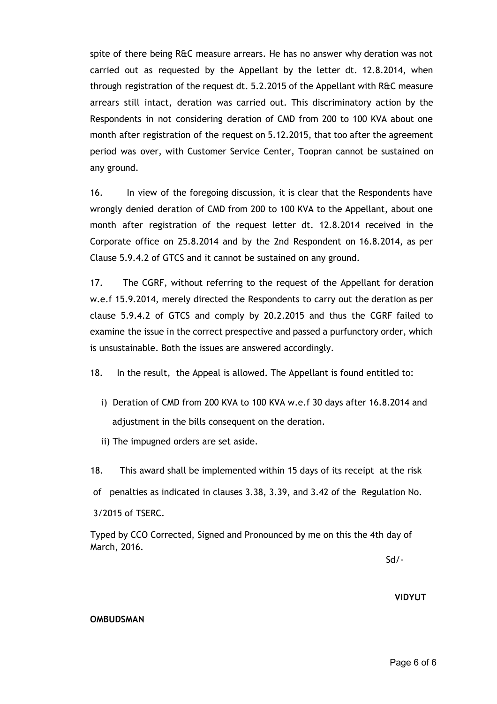spite of there being R&C measure arrears. He has no answer why deration was not carried out as requested by the Appellant by the letter dt. 12.8.2014, when through registration of the request dt. 5.2.2015 of the Appellant with R&C measure arrears still intact, deration was carried out. This discriminatory action by the Respondents in not considering deration of CMD from 200 to 100 KVA about one month after registration of the request on 5.12.2015, that too after the agreement period was over, with Customer Service Center, Toopran cannot be sustained on any ground.

16. In view of the foregoing discussion, it is clear that the Respondents have wrongly denied deration of CMD from 200 to 100 KVA to the Appellant, about one month after registration of the request letter dt. 12.8.2014 received in the Corporate office on 25.8.2014 and by the 2nd Respondent on 16.8.2014, as per Clause 5.9.4.2 of GTCS and it cannot be sustained on any ground.

17. The CGRF, without referring to the request of the Appellant for deration w.e.f 15.9.2014, merely directed the Respondents to carry out the deration as per clause 5.9.4.2 of GTCS and comply by 20.2.2015 and thus the CGRF failed to examine the issue in the correct prespective and passed a purfunctory order, which is unsustainable. Both the issues are answered accordingly.

18. In the result, the Appeal is allowed. The Appellant is found entitled to:

- i) Deration of CMD from 200 KVA to 100 KVA w.e.f 30 days after 16.8.2014 and adjustment in the bills consequent on the deration.
- ii) The impugned orders are set aside.
- 18. This award shall be implemented within 15 days of its receipt at the risk
- of penalties as indicated in clauses 3.38, 3.39, and 3.42 of the Regulation No.

3/2015 of TSERC.

Typed by CCO Corrected, Signed and Pronounced by me on this the 4th day of March, 2016.

Sd/‐

#### **VIDYUT**

#### **OMBUDSMAN**